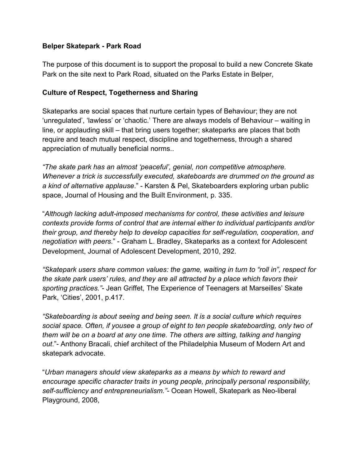#### **Belper Skatepark - Park Road**

The purpose of this document is to support the proposal to build a new Concrete Skate Park on the site next to Park Road, situated on the Parks Estate in Belper,

#### **Culture of Respect, Togetherness and Sharing**

Skateparks are social spaces that nurture certain types of Behaviour; they are not 'unregulated', 'lawless' or 'chaotic.' There are always models of Behaviour – waiting in line, or applauding skill – that bring users together; skateparks are places that both require and teach mutual respect, discipline and togetherness, through a shared appreciation of mutually beneficial norms..

*"The skate park has an almost 'peaceful', genial, non competitive atmosphere. Whenever a trick is successfully executed, skateboards are drummed on the ground as a kind of alternative applause*." - Karsten & Pel, Skateboarders exploring urban public space, Journal of Housing and the Built Environment, p. 335.

"*Although lacking adult-imposed mechanisms for control, these activities and leisure contexts provide forms of control that are internal either to individual participants and/or their group, and thereby help to develop capacities for self-regulation, cooperation, and negotiation with peers*." - Graham L. Bradley, Skateparks as a context for Adolescent Development, Journal of Adolescent Development, 2010, 292.

*"Skatepark users share common values: the game, waiting in turn to "roll in", respect for the skate park users' rules, and they are all attracted by a place which favors their sporting practices."*- Jean Griffet, The Experience of Teenagers at Marseilles' Skate Park, 'Cities', 2001, p.417.

*"Skateboarding is about seeing and being seen. It is a social culture which requires social space. Often, if yousee a group of eight to ten people skateboarding, only two of them will be on a board at any one time. The others are sitting, talking and hanging out*."- Anthony Bracali, chief architect of the Philadelphia Museum of Modern Art and skatepark advocate.

"*Urban managers should view skateparks as a means by which to reward and encourage specific character traits in young people, principally personal responsibility, self-sufficiency and entrepreneurialism."*- Ocean Howell, Skatepark as Neo-liberal Playground, 2008,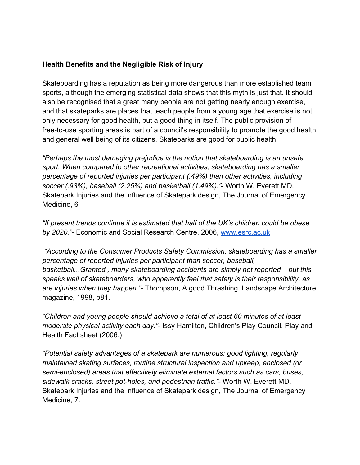### **Health Benefits and the Negligible Risk of Injury**

Skateboarding has a reputation as being more dangerous than more established team sports, although the emerging statistical data shows that this myth is just that. It should also be recognised that a great many people are not getting nearly enough exercise, and that skateparks are places that teach people from a young age that exercise is not only necessary for good health, but a good thing in itself. The public provision of free-to-use sporting areas is part of a council's responsibility to promote the good health and general well being of its citizens. Skateparks are good for public health!

*"Perhaps the most damaging prejudice is the notion that skateboarding is an unsafe sport. When compared to other recreational activities, skateboarding has a smaller percentage of reported injuries per participant (.49%) than other activities, including soccer (.93%), baseball (2.25%) and basketball (1.49%)."*- Worth W. Everett MD, Skatepark Injuries and the influence of Skatepark design, The Journal of Emergency Medicine, 6

*"If present trends continue it is estimated that half of the UK's children could be obese by 2020."*- Economic and Social Research Centre, 2006, [www.esrc.ac.uk](http://www.esrc.ac.uk/)

 *"According to the Consumer Products Safety Commission, skateboarding has a smaller percentage of reported injuries per participant than soccer, baseball, basketball...Granted , many skateboarding accidents are simply not reported – but this speaks well of skateboarders, who apparently feel that safety is their responsibility, as are injuries when they happen."*- Thompson, A good Thrashing, Landscape Architecture magazine, 1998, p81.

*"Children and young people should achieve a total of at least 60 minutes of at least moderate physical activity each day."*- Issy Hamilton, Children's Play Council, Play and Health Fact sheet (2006.)

*"Potential safety advantages of a skatepark are numerous: good lighting, regularly maintained skating surfaces, routine structural inspection and upkeep, enclosed (or semi-enclosed) areas that effectively eliminate external factors such as cars, buses, sidewalk cracks, street pot-holes, and pedestrian traffic."*- Worth W. Everett MD, Skatepark Injuries and the influence of Skatepark design, The Journal of Emergency Medicine, 7.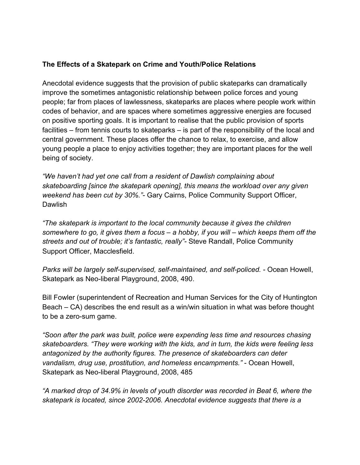### **The Effects of a Skatepark on Crime and Youth/Police Relations**

Anecdotal evidence suggests that the provision of public skateparks can dramatically improve the sometimes antagonistic relationship between police forces and young people; far from places of lawlessness, skateparks are places where people work within codes of behavior, and are spaces where sometimes aggressive energies are focused on positive sporting goals. It is important to realise that the public provision of sports facilities – from tennis courts to skateparks – is part of the responsibility of the local and central government. These places offer the chance to relax, to exercise, and allow young people a place to enjoy activities together; they are important places for the well being of society.

*"We haven't had yet one call from a resident of Dawlish complaining about skateboarding [since the skatepark opening], this means the workload over any given weekend has been cut by 30%."*- Gary Cairns, Police Community Support Officer, Dawlish

*"The skatepark is important to the local community because it gives the children somewhere to go, it gives them a focus – a hobby, if you will – which keeps them off the streets and out of trouble; it's fantastic, really"-* Steve Randall, Police Community Support Officer, Macclesfield.

*Parks will be largely self-supervised, self-maintained, and self-policed.* - Ocean Howell, Skatepark as Neo-liberal Playground, 2008, 490.

Bill Fowler (superintendent of Recreation and Human Services for the City of Huntington Beach – CA) describes the end result as a win/win situation in what was before thought to be a zero-sum game.

*"Soon after the park was built, police were expending less time and resources chasing skateboarders. "They were working with the kids, and in turn, the kids were feeling less antagonized by the authority figures. The presence of skateboarders can deter vandalism, drug use, prostitution, and homeless encampments."* - Ocean Howell, Skatepark as Neo-liberal Playground, 2008, 485

*"A marked drop of 34.9% in levels of youth disorder was recorded in Beat 6, where the skatepark is located, since 2002-2006. Anecdotal evidence suggests that there is a*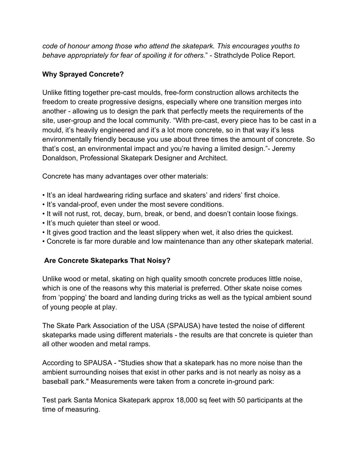*code of honour among those who attend the skatepark. This encourages youths to behave appropriately for fear of spoiling it for others.*" - Strathclyde Police Report.

# **Why Sprayed Concrete?**

Unlike fitting together pre-cast moulds, free-form construction allows architects the freedom to create progressive designs, especially where one transition merges into another - allowing us to design the park that perfectly meets the requirements of the site, user-group and the local community. "With pre-cast, every piece has to be cast in a mould, it's heavily engineered and it's a lot more concrete, so in that way it's less environmentally friendly because you use about three times the amount of concrete. So that's cost, an environmental impact and you're having a limited design."- Jeremy Donaldson, Professional Skatepark Designer and Architect.

Concrete has many advantages over other materials:

- It's an ideal hardwearing riding surface and skaters' and riders' first choice.
- It's vandal-proof, even under the most severe conditions.
- It will not rust, rot, decay, burn, break, or bend, and doesn't contain loose fixings.
- It's much quieter than steel or wood.
- It gives good traction and the least slippery when wet, it also dries the quickest.
- Concrete is far more durable and low maintenance than any other skatepark material.

## **Are Concrete Skateparks That Noisy?**

Unlike wood or metal, skating on high quality smooth concrete produces little noise, which is one of the reasons why this material is preferred. Other skate noise comes from 'popping' the board and landing during tricks as well as the typical ambient sound of young people at play.

The Skate Park Association of the USA (SPAUSA) have tested the noise of different skateparks made using different materials - the results are that concrete is quieter than all other wooden and metal ramps.

According to SPAUSA - "Studies show that a skatepark has no more noise than the ambient surrounding noises that exist in other parks and is not nearly as noisy as a baseball park." Measurements were taken from a concrete in-ground park:

Test park Santa Monica Skatepark approx 18,000 sq feet with 50 participants at the time of measuring.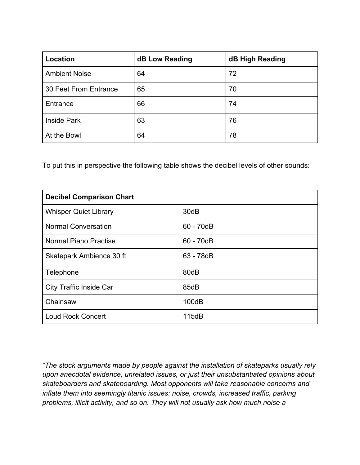| Location              | <b>dB Low Reading</b> | dB High Reading |
|-----------------------|-----------------------|-----------------|
| <b>Ambient Noise</b>  | 64                    | 72              |
| 30 Feet From Entrance | 65                    | 70              |
| Entrance              | 66                    | 74              |
| <b>Inside Park</b>    | 63                    | 76              |
| At the Bowl           | 64                    | 78              |

To put this in perspective the following table shows the decibel levels of other sounds:

| <b>Decibel Comparison Chart</b> |             |
|---------------------------------|-------------|
| <b>Whisper Quiet Library</b>    | 30dB        |
| <b>Normal Conversation</b>      | $60 - 70dB$ |
| <b>Normal Piano Practise</b>    | $60 - 70dB$ |
| Skatepark Ambience 30 ft        | 63 - 78dB   |
| Telephone                       | 80dB        |
| <b>City Traffic Inside Car</b>  | 85dB        |
| Chainsaw                        | 100dB       |
| <b>Loud Rock Concert</b>        | 115dB       |

*"The stock arguments made by people against the installation of skateparks usually rely upon anecdotal evidence, unrelated issues, or just their unsubstantiated opinions about skateboarders and skateboarding. Most opponents will take reasonable concerns and inflate them into seemingly titanic issues: noise, crowds, increased traffic, parking problems, illicit activity, and so on. They will not usually ask how much noise a*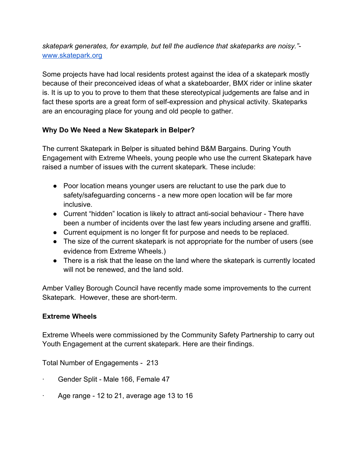*skatepark generates, for example, but tell the audience that skateparks are noisy."* [www.skatepark.org](http://www.skatepark.org/)

Some projects have had local residents protest against the idea of a skatepark mostly because of their preconceived ideas of what a skateboarder, BMX rider or inline skater is. It is up to you to prove to them that these stereotypical judgements are false and in fact these sports are a great form of self-expression and physical activity. Skateparks are an encouraging place for young and old people to gather.

## **Why Do We Need a New Skatepark in Belper?**

The current Skatepark in Belper is situated behind B&M Bargains. During Youth Engagement with Extreme Wheels, young people who use the current Skatepark have raised a number of issues with the current skatepark. These include:

- Poor location means younger users are reluctant to use the park due to safety/safeguarding concerns - a new more open location will be far more inclusive.
- Current "hidden" location is likely to attract anti-social behaviour There have been a number of incidents over the last few years including arsene and graffiti.
- Current equipment is no longer fit for purpose and needs to be replaced.
- The size of the current skatepark is not appropriate for the number of users (see evidence from Extreme Wheels.)
- There is a risk that the lease on the land where the skatepark is currently located will not be renewed, and the land sold.

Amber Valley Borough Council have recently made some improvements to the current Skatepark. However, these are short-term.

## **Extreme Wheels**

Extreme Wheels were commissioned by the Community Safety Partnership to carry out Youth Engagement at the current skatepark. Here are their findings.

Total Number of Engagements - 213

- · Gender Split Male 166, Female 47
- Age range 12 to 21, average age 13 to 16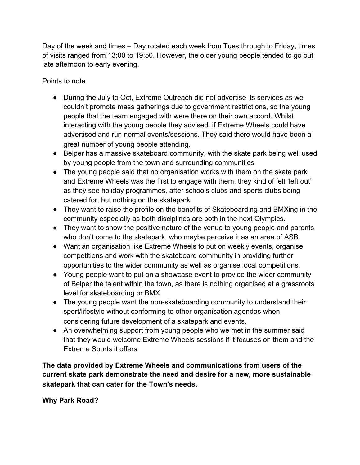Day of the week and times – Day rotated each week from Tues through to Friday, times of visits ranged from 13:00 to 19:50. However, the older young people tended to go out late afternoon to early evening.

Points to note

- During the July to Oct, Extreme Outreach did not advertise its services as we couldn't promote mass gatherings due to government restrictions, so the young people that the team engaged with were there on their own accord. Whilst interacting with the young people they advised, if Extreme Wheels could have advertised and run normal events/sessions. They said there would have been a great number of young people attending.
- Belper has a massive skateboard community, with the skate park being well used by young people from the town and surrounding communities
- The young people said that no organisation works with them on the skate park and Extreme Wheels was the first to engage with them, they kind of felt 'left out' as they see holiday programmes, after schools clubs and sports clubs being catered for, but nothing on the skatepark
- They want to raise the profile on the benefits of Skateboarding and BMXing in the community especially as both disciplines are both in the next Olympics.
- They want to show the positive nature of the venue to young people and parents who don't come to the skatepark, who maybe perceive it as an area of ASB.
- Want an organisation like Extreme Wheels to put on weekly events, organise competitions and work with the skateboard community in providing further opportunities to the wider community as well as organise local competitions.
- Young people want to put on a showcase event to provide the wider community of Belper the talent within the town, as there is nothing organised at a grassroots level for skateboarding or BMX
- The young people want the non-skateboarding community to understand their sport/lifestyle without conforming to other organisation agendas when considering future development of a skatepark and events.
- An overwhelming support from young people who we met in the summer said that they would welcome Extreme Wheels sessions if it focuses on them and the Extreme Sports it offers.

**The data provided by Extreme Wheels and communications from users of the current skate park demonstrate the need and desire for a new, more sustainable skatepark that can cater for the Town's needs.**

**Why Park Road?**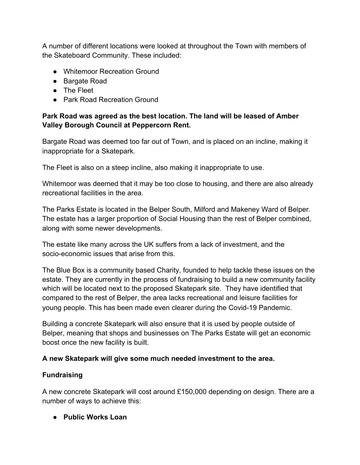A number of different locations were looked at throughout the Town with members of the Skateboard Community. These included:

- Whitemoor Recreation Ground
- Bargate Road
- The Fleet
- Park Road Recreation Ground

### **Park Road was agreed as the best location. The land will be leased of Amber Valley Borough Council at Peppercorn Rent.**

Bargate Road was deemed too far out of Town, and is placed on an incline, making it inappropriate for a Skatepark.

The Fleet is also on a steep incline, also making it inappropriate to use.

Whitemoor was deemed that it may be too close to housing, and there are also already recreational facilities in the area.

The Parks Estate is located in the Belper South, Milford and Makeney Ward of Belper. The estate has a larger proportion of Social Housing than the rest of Belper combined, along with some newer developments.

The estate like many across the UK suffers from a lack of investment, and the socio-economic issues that arise from this.

The Blue Box is a community based Charity, founded to help tackle these issues on the estate. They are currently in the process of fundraising to build a new community facility which will be located next to the proposed Skatepark site. They have identified that compared to the rest of Belper, the area lacks recreational and leisure facilities for young people. This has been made even clearer during the Covid-19 Pandemic.

Building a concrete Skatepark will also ensure that it is used by people outside of Belper, meaning that shops and businesses on The Parks Estate will get an economic boost once the new facility is built.

#### **A new Skatepark will give some much needed investment to the area.**

#### **Fundraising**

A new concrete Skatepark will cost around £150,000 depending on design. There are a number of ways to achieve this:

**● Public Works Loan**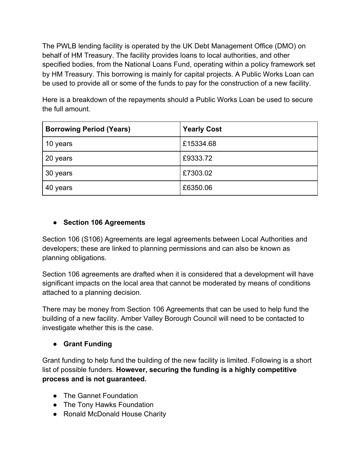The PWLB lending facility is operated by the UK Debt Management Office (DMO) on behalf of HM Treasury. The facility provides loans to local authorities, and other specified bodies, from the National Loans Fund, operating within a policy framework set by HM Treasury. This borrowing is mainly for capital projects. A Public Works Loan can be used to provide all or some of the funds to pay for the construction of a new facility.

Here is a breakdown of the repayments should a Public Works Loan be used to secure the full amount.

| <b>Borrowing Period (Years)</b> | <b>Yearly Cost</b> |
|---------------------------------|--------------------|
| 10 years                        | £15334.68          |
| 20 years                        | £9333.72           |
| 30 years                        | £7303.02           |
| 40 years                        | £6350.06           |

# **● Section 106 Agreements**

Section 106 (S106) Agreements are legal agreements between Local Authorities and developers; these are linked to planning permissions and can also be known as planning obligations.

Section 106 agreements are drafted when it is considered that a development will have significant impacts on the local area that cannot be moderated by means of conditions attached to a planning decision.

There may be money from Section 106 Agreements that can be used to help fund the building of a new facility. Amber Valley Borough Council will need to be contacted to investigate whether this is the case.

# **● Grant Funding**

Grant funding to help fund the building of the new facility is limited. Following is a short list of possible funders. **However, securing the funding is a highly competitive process and is not guaranteed.**

- The Gannet Foundation
- The Tony Hawks Foundation
- Ronald McDonald House Charity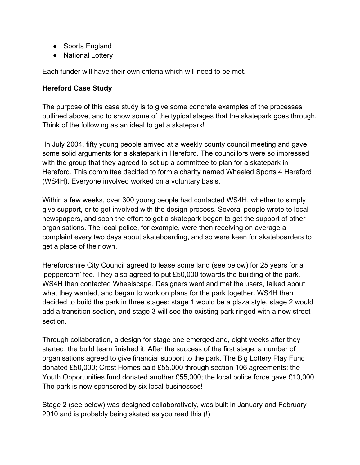- Sports England
- National Lottery

Each funder will have their own criteria which will need to be met.

#### **Hereford Case Study**

The purpose of this case study is to give some concrete examples of the processes outlined above, and to show some of the typical stages that the skatepark goes through. Think of the following as an ideal to get a skatepark!

 In July 2004, fifty young people arrived at a weekly county council meeting and gave some solid arguments for a skatepark in Hereford. The councillors were so impressed with the group that they agreed to set up a committee to plan for a skatepark in Hereford. This committee decided to form a charity named Wheeled Sports 4 Hereford (WS4H). Everyone involved worked on a voluntary basis.

Within a few weeks, over 300 young people had contacted WS4H, whether to simply give support, or to get involved with the design process. Several people wrote to local newspapers, and soon the effort to get a skatepark began to get the support of other organisations. The local police, for example, were then receiving on average a complaint every two days about skateboarding, and so were keen for skateboarders to get a place of their own.

Herefordshire City Council agreed to lease some land (see below) for 25 years for a 'peppercorn' fee. They also agreed to put £50,000 towards the building of the park. WS4H then contacted Wheelscape. Designers went and met the users, talked about what they wanted, and began to work on plans for the park together. WS4H then decided to build the park in three stages: stage 1 would be a plaza style, stage 2 would add a transition section, and stage 3 will see the existing park ringed with a new street section.

Through collaboration, a design for stage one emerged and, eight weeks after they started, the build team finished it. After the success of the first stage, a number of organisations agreed to give financial support to the park. The Big Lottery Play Fund donated £50,000; Crest Homes paid £55,000 through section 106 agreements; the Youth Opportunities fund donated another £55,000; the local police force gave £10,000. The park is now sponsored by six local businesses!

Stage 2 (see below) was designed collaboratively, was built in January and February 2010 and is probably being skated as you read this (!)